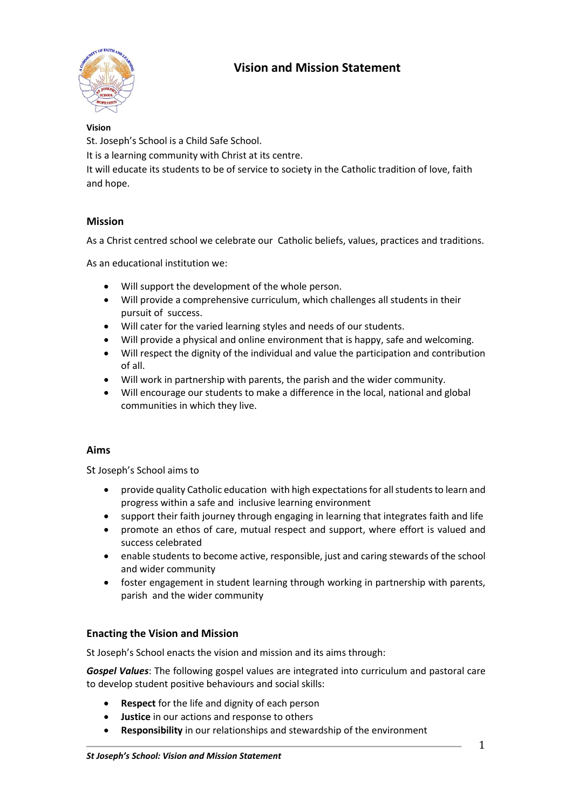# **Vision and Mission Statement**



#### **Vision**

St. Joseph's School is a Child Safe School.

It is a learning community with Christ at its centre.

It will educate its students to be of service to society in the Catholic tradition of love, faith and hope.

## **Mission**

As a Christ centred school we celebrate our Catholic beliefs, values, practices and traditions.

As an educational institution we:

- Will support the development of the whole person.
- Will provide a comprehensive curriculum, which challenges all students in their pursuit of success.
- Will cater for the varied learning styles and needs of our students.
- Will provide a physical and online environment that is happy, safe and welcoming.
- Will respect the dignity of the individual and value the participation and contribution of all.
- Will work in partnership with parents, the parish and the wider community.
- Will encourage our students to make a difference in the local, national and global communities in which they live.

## **Aims**

St Joseph's School aims to

- provide quality Catholic education with high expectations for all students to learn and progress within a safe and inclusive learning environment
- support their faith journey through engaging in learning that integrates faith and life
- promote an ethos of care, mutual respect and support, where effort is valued and success celebrated
- enable students to become active, responsible, just and caring stewards of the school and wider community
- foster engagement in student learning through working in partnership with parents, parish and the wider community

#### **Enacting the Vision and Mission**

St Joseph's School enacts the vision and mission and its aims through:

*Gospel Values*: The following gospel values are integrated into curriculum and pastoral care to develop student positive behaviours and social skills:

- **Respect** for the life and dignity of each person
- **Justice** in our actions and response to others
- **Responsibility** in our relationships and stewardship of the environment